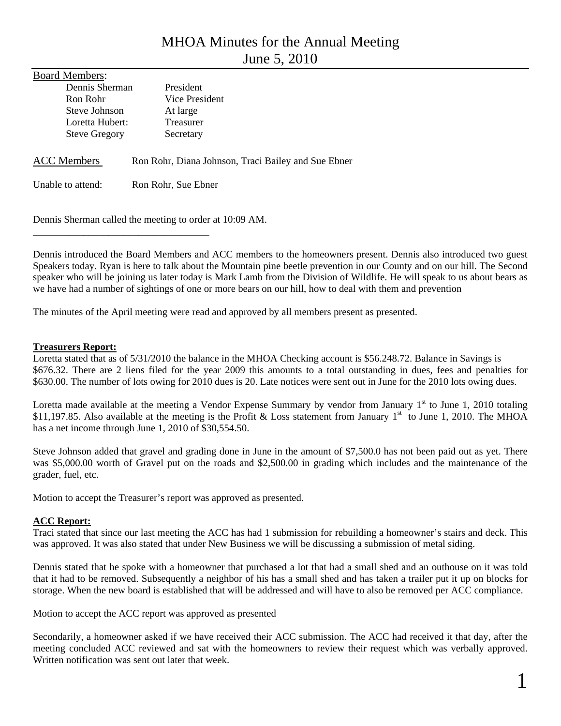# MHOA Minutes for the Annual Meeting June 5, 2010

| <b>Board Members:</b> |                                                     |
|-----------------------|-----------------------------------------------------|
| Dennis Sherman        | <b>President</b>                                    |
| Ron Rohr              | Vice President                                      |
| Steve Johnson         | At large                                            |
| Loretta Hubert:       | Treasurer                                           |
| <b>Steve Gregory</b>  | Secretary                                           |
| <b>ACC</b> Members    | Ron Rohr, Diana Johnson, Traci Bailey and Sue Ebner |
| Unable to attend:     | Ron Rohr, Sue Ebner                                 |

Dennis Sherman called the meeting to order at 10:09 AM.

\_\_\_\_\_\_\_\_\_\_\_\_\_\_\_\_\_\_\_\_\_\_\_\_\_\_\_\_\_\_\_\_\_\_\_

Dennis introduced the Board Members and ACC members to the homeowners present. Dennis also introduced two guest Speakers today. Ryan is here to talk about the Mountain pine beetle prevention in our County and on our hill. The Second speaker who will be joining us later today is Mark Lamb from the Division of Wildlife. He will speak to us about bears as we have had a number of sightings of one or more bears on our hill, how to deal with them and prevention

The minutes of the April meeting were read and approved by all members present as presented.

#### **Treasurers Report:**

Loretta stated that as of 5/31/2010 the balance in the MHOA Checking account is \$56.248.72. Balance in Savings is \$676.32. There are 2 liens filed for the year 2009 this amounts to a total outstanding in dues, fees and penalties for \$630.00. The number of lots owing for 2010 dues is 20. Late notices were sent out in June for the 2010 lots owing dues.

Loretta made available at the meeting a Vendor Expense Summary by vendor from January  $1<sup>st</sup>$  to June 1, 2010 totaling \$11,197.85. Also available at the meeting is the Profit & Loss statement from January 1<sup>st</sup> to June 1, 2010. The MHOA has a net income through June 1, 2010 of \$30,554.50.

Steve Johnson added that gravel and grading done in June in the amount of \$7,500.0 has not been paid out as yet. There was \$5,000.00 worth of Gravel put on the roads and \$2,500.00 in grading which includes and the maintenance of the grader, fuel, etc.

Motion to accept the Treasurer's report was approved as presented.

## **ACC Report:**

Traci stated that since our last meeting the ACC has had 1 submission for rebuilding a homeowner's stairs and deck. This was approved. It was also stated that under New Business we will be discussing a submission of metal siding.

Dennis stated that he spoke with a homeowner that purchased a lot that had a small shed and an outhouse on it was told that it had to be removed. Subsequently a neighbor of his has a small shed and has taken a trailer put it up on blocks for storage. When the new board is established that will be addressed and will have to also be removed per ACC compliance.

Motion to accept the ACC report was approved as presented

Secondarily, a homeowner asked if we have received their ACC submission. The ACC had received it that day, after the meeting concluded ACC reviewed and sat with the homeowners to review their request which was verbally approved. Written notification was sent out later that week.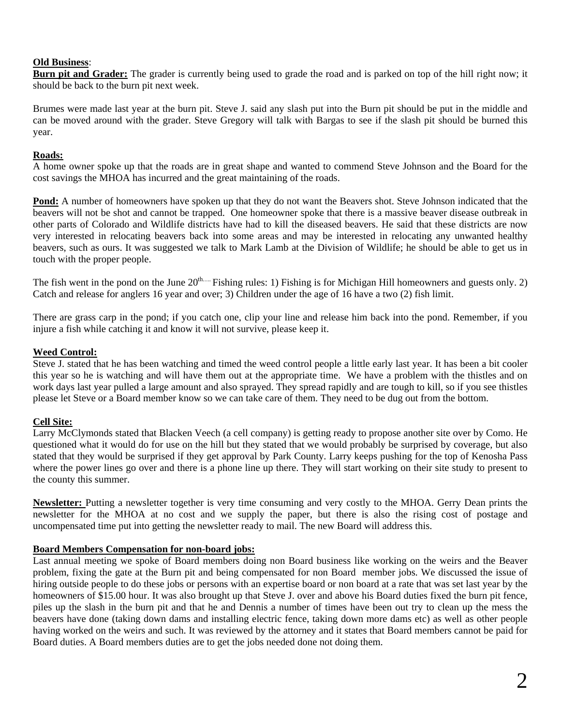#### **Old Business**:

**Burn pit and Grader:** The grader is currently being used to grade the road and is parked on top of the hill right now; it should be back to the burn pit next week.

Brumes were made last year at the burn pit. Steve J. said any slash put into the Burn pit should be put in the middle and can be moved around with the grader. Steve Gregory will talk with Bargas to see if the slash pit should be burned this year.

#### **Roads:**

A home owner spoke up that the roads are in great shape and wanted to commend Steve Johnson and the Board for the cost savings the MHOA has incurred and the great maintaining of the roads.

**Pond:** A number of homeowners have spoken up that they do not want the Beavers shot. Steve Johnson indicated that the beavers will not be shot and cannot be trapped. One homeowner spoke that there is a massive beaver disease outbreak in other parts of Colorado and Wildlife districts have had to kill the diseased beavers. He said that these districts are now very interested in relocating beavers back into some areas and may be interested in relocating any unwanted healthy beavers, such as ours. It was suggested we talk to Mark Lamb at the Division of Wildlife; he should be able to get us in touch with the proper people.

The fish went in the pond on the June  $20^{th...}$  Fishing rules: 1) Fishing is for Michigan Hill homeowners and guests only. 2) Catch and release for anglers 16 year and over; 3) Children under the age of 16 have a two (2) fish limit.

There are grass carp in the pond; if you catch one, clip your line and release him back into the pond. Remember, if you injure a fish while catching it and know it will not survive, please keep it.

#### **Weed Control:**

Steve J. stated that he has been watching and timed the weed control people a little early last year. It has been a bit cooler this year so he is watching and will have them out at the appropriate time. We have a problem with the thistles and on work days last year pulled a large amount and also sprayed. They spread rapidly and are tough to kill, so if you see thistles please let Steve or a Board member know so we can take care of them. They need to be dug out from the bottom.

## **Cell Site:**

Larry McClymonds stated that Blacken Veech (a cell company) is getting ready to propose another site over by Como. He questioned what it would do for use on the hill but they stated that we would probably be surprised by coverage, but also stated that they would be surprised if they get approval by Park County. Larry keeps pushing for the top of Kenosha Pass where the power lines go over and there is a phone line up there. They will start working on their site study to present to the county this summer.

**Newsletter:** Putting a newsletter together is very time consuming and very costly to the MHOA. Gerry Dean prints the newsletter for the MHOA at no cost and we supply the paper, but there is also the rising cost of postage and uncompensated time put into getting the newsletter ready to mail. The new Board will address this.

## **Board Members Compensation for non-board jobs:**

Last annual meeting we spoke of Board members doing non Board business like working on the weirs and the Beaver problem, fixing the gate at the Burn pit and being compensated for non Board member jobs. We discussed the issue of hiring outside people to do these jobs or persons with an expertise board or non board at a rate that was set last year by the homeowners of \$15.00 hour. It was also brought up that Steve J. over and above his Board duties fixed the burn pit fence, piles up the slash in the burn pit and that he and Dennis a number of times have been out try to clean up the mess the beavers have done (taking down dams and installing electric fence, taking down more dams etc) as well as other people having worked on the weirs and such. It was reviewed by the attorney and it states that Board members cannot be paid for Board duties. A Board members duties are to get the jobs needed done not doing them.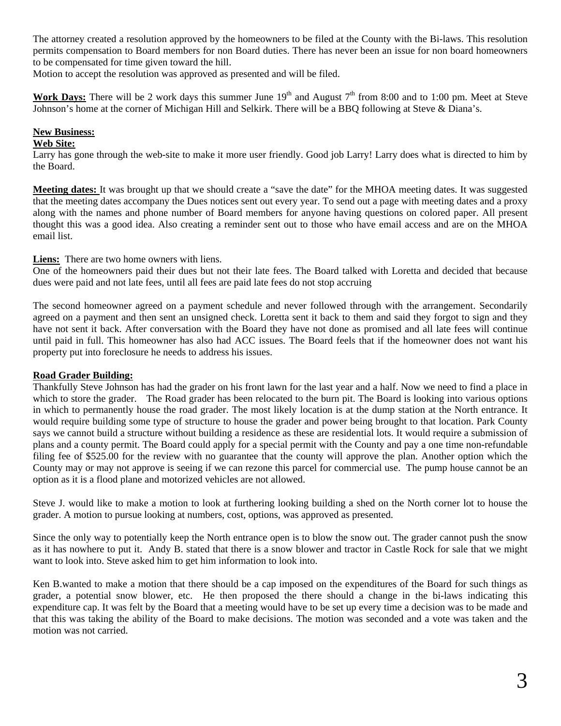The attorney created a resolution approved by the homeowners to be filed at the County with the Bi-laws. This resolution permits compensation to Board members for non Board duties. There has never been an issue for non board homeowners to be compensated for time given toward the hill.

Motion to accept the resolution was approved as presented and will be filed.

**Work Days:** There will be 2 work days this summer June  $19<sup>th</sup>$  and August  $7<sup>th</sup>$  from 8:00 and to 1:00 pm. Meet at Steve Johnson's home at the corner of Michigan Hill and Selkirk. There will be a BBQ following at Steve & Diana's.

## **New Business:**

## **Web Site:**

Larry has gone through the web-site to make it more user friendly. Good job Larry! Larry does what is directed to him by the Board.

**Meeting dates:** It was brought up that we should create a "save the date" for the MHOA meeting dates. It was suggested that the meeting dates accompany the Dues notices sent out every year. To send out a page with meeting dates and a proxy along with the names and phone number of Board members for anyone having questions on colored paper. All present thought this was a good idea. Also creating a reminder sent out to those who have email access and are on the MHOA email list.

**Liens:** There are two home owners with liens.

One of the homeowners paid their dues but not their late fees. The Board talked with Loretta and decided that because dues were paid and not late fees, until all fees are paid late fees do not stop accruing

The second homeowner agreed on a payment schedule and never followed through with the arrangement. Secondarily agreed on a payment and then sent an unsigned check. Loretta sent it back to them and said they forgot to sign and they have not sent it back. After conversation with the Board they have not done as promised and all late fees will continue until paid in full. This homeowner has also had ACC issues. The Board feels that if the homeowner does not want his property put into foreclosure he needs to address his issues.

## **Road Grader Building:**

Thankfully Steve Johnson has had the grader on his front lawn for the last year and a half. Now we need to find a place in which to store the grader. The Road grader has been relocated to the burn pit. The Board is looking into various options in which to permanently house the road grader. The most likely location is at the dump station at the North entrance. It would require building some type of structure to house the grader and power being brought to that location. Park County says we cannot build a structure without building a residence as these are residential lots. It would require a submission of plans and a county permit. The Board could apply for a special permit with the County and pay a one time non-refundable filing fee of \$525.00 for the review with no guarantee that the county will approve the plan. Another option which the County may or may not approve is seeing if we can rezone this parcel for commercial use. The pump house cannot be an option as it is a flood plane and motorized vehicles are not allowed.

Steve J. would like to make a motion to look at furthering looking building a shed on the North corner lot to house the grader. A motion to pursue looking at numbers, cost, options, was approved as presented.

Since the only way to potentially keep the North entrance open is to blow the snow out. The grader cannot push the snow as it has nowhere to put it. Andy B. stated that there is a snow blower and tractor in Castle Rock for sale that we might want to look into. Steve asked him to get him information to look into.

Ken B.wanted to make a motion that there should be a cap imposed on the expenditures of the Board for such things as grader, a potential snow blower, etc. He then proposed the there should a change in the bi-laws indicating this expenditure cap. It was felt by the Board that a meeting would have to be set up every time a decision was to be made and that this was taking the ability of the Board to make decisions. The motion was seconded and a vote was taken and the motion was not carried.